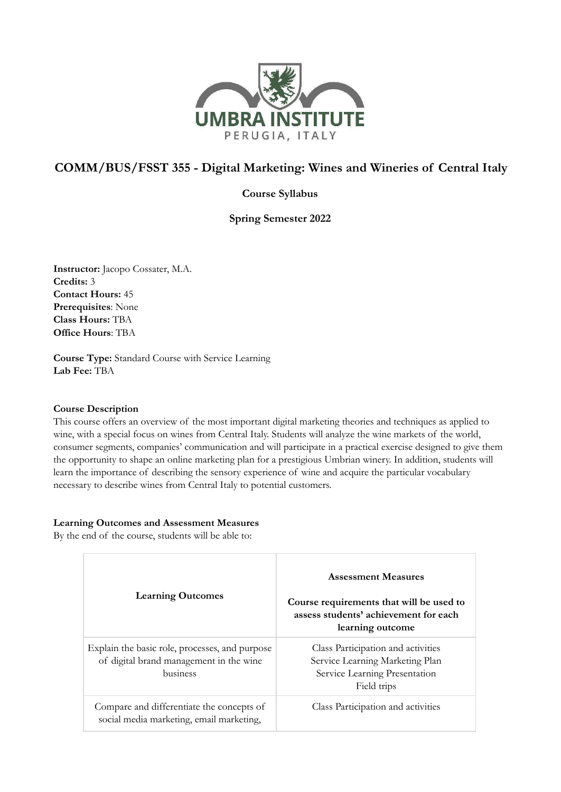

# **COMM/BUS/FSST 355 - Digital Marketing: Wines and Wineries of Central Italy**

## **Course Syllabus**

**Spring Semester 2022**

**Instructor:** Jacopo Cossater, M.A. **Credits:** 3 **Contact Hours:** 45 **Prerequisites**: None **Class Hours:** TBA **Office Hours**: TBA

**Course Type:** Standard Course with Service Learning **Lab Fee:** TBA

### **Course Description**

This course offers an overview of the most important digital marketing theories and techniques as applied to wine, with a special focus on wines from Central Italy. Students will analyze the wine markets of the world, consumer segments, companies' communication and will participate in a practical exercise designed to give them the opportunity to shape an online marketing plan for a prestigious Umbrian winery. In addition, students will learn the importance of describing the sensory experience of wine and acquire the particular vocabulary necessary to describe wines from Central Italy to potential customers.

### **Learning Outcomes and Assessment Measures**

By the end of the course, students will be able to:

| <b>Learning Outcomes</b>                                                                              | <b>Assessment Measures</b><br>Course requirements that will be used to<br>assess students' achievement for each<br>learning outcome |
|-------------------------------------------------------------------------------------------------------|-------------------------------------------------------------------------------------------------------------------------------------|
| Explain the basic role, processes, and purpose<br>of digital brand management in the wine<br>business | Class Participation and activities<br>Service Learning Marketing Plan<br>Service Learning Presentation<br>Field trips               |
| Compare and differentiate the concepts of<br>social media marketing, email marketing,                 | Class Participation and activities                                                                                                  |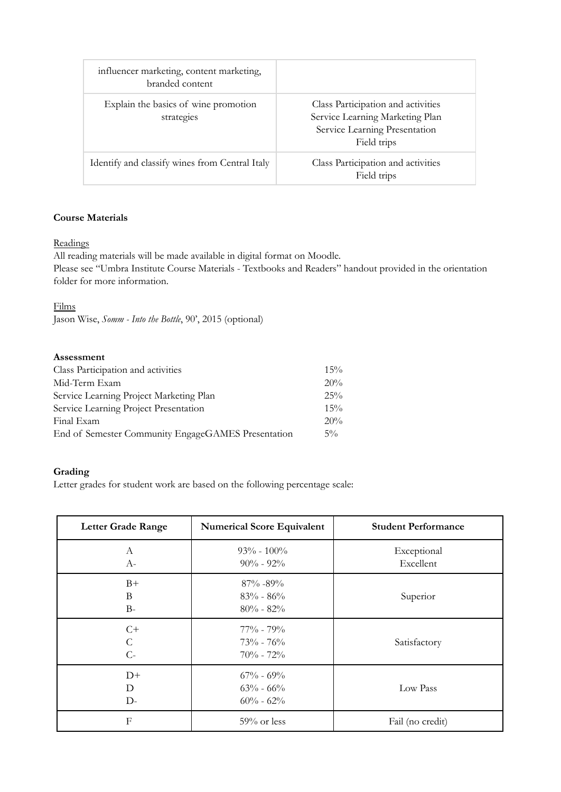| influencer marketing, content marketing,<br>branded content |                                                                                                                       |
|-------------------------------------------------------------|-----------------------------------------------------------------------------------------------------------------------|
| Explain the basics of wine promotion<br>strategies          | Class Participation and activities<br>Service Learning Marketing Plan<br>Service Learning Presentation<br>Field trips |
| Identify and classify wines from Central Italy              | Class Participation and activities<br>Field trips                                                                     |

## **Course Materials**

## **Readings**

All reading materials will be made available in digital format on Moodle.

Please see "Umbra Institute Course Materials - Textbooks and Readers" handout provided in the orientation folder for more information.

### Films

Jason Wise, *Somm - Into the Bottle*, 90', 2015 (optional)

#### **Assessment**

| Class Participation and activities                 | $15\%$ |
|----------------------------------------------------|--------|
| Mid-Term Exam                                      | $20\%$ |
| Service Learning Project Marketing Plan            | $25\%$ |
| Service Learning Project Presentation              | $15\%$ |
| Final Exam                                         | $20\%$ |
| End of Semester Community EngageGAMES Presentation | $5\%$  |

### **Grading**

Letter grades for student work are based on the following percentage scale:

| <b>Letter Grade Range</b>     | <b>Numerical Score Equivalent</b>               | <b>Student Performance</b> |
|-------------------------------|-------------------------------------------------|----------------------------|
| А<br>$A-$                     | $93\% - 100\%$<br>$90\% - 92\%$                 | Exceptional<br>Excellent   |
| $B+$<br>B<br>$B-$             | $87\% - 89\%$<br>$83\% - 86\%$<br>$80\% - 82\%$ | Superior                   |
| $C+$<br>$\mathcal{C}$<br>$C-$ | $77\% - 79\%$<br>$73\% - 76\%$<br>$70\% - 72\%$ | Satisfactory               |
| $D+$<br>D<br>$D-$             | $67\% - 69\%$<br>$63\% - 66\%$<br>$60\% - 62\%$ | Low Pass                   |
| F                             | $59\%$ or less                                  | Fail (no credit)           |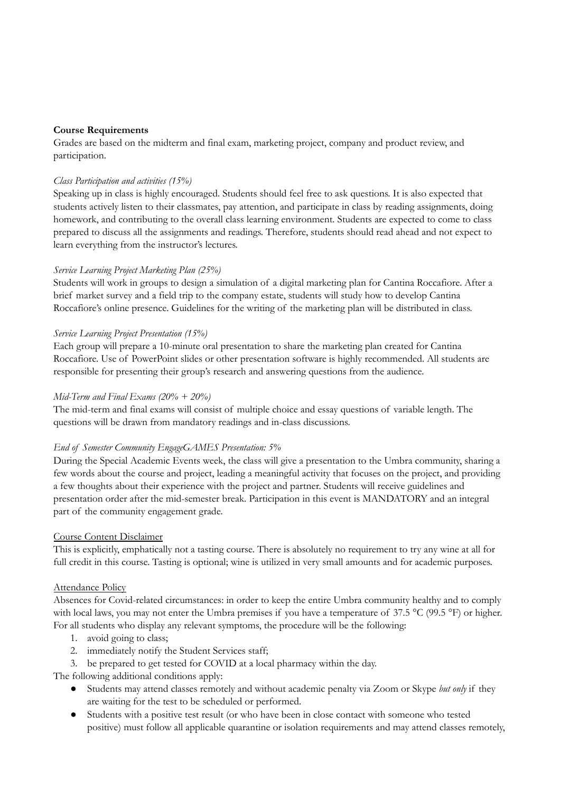### **Course Requirements**

Grades are based on the midterm and final exam, marketing project, company and product review, and participation.

### *Class Participation and activities (15%)*

Speaking up in class is highly encouraged. Students should feel free to ask questions. It is also expected that students actively listen to their classmates, pay attention, and participate in class by reading assignments, doing homework, and contributing to the overall class learning environment. Students are expected to come to class prepared to discuss all the assignments and readings. Therefore, students should read ahead and not expect to learn everything from the instructor's lectures.

### *Service Learning Project Marketing Plan (25%)*

Students will work in groups to design a simulation of a digital marketing plan for Cantina Roccafiore. After a brief market survey and a field trip to the company estate, students will study how to develop Cantina Roccafiore's online presence. Guidelines for the writing of the marketing plan will be distributed in class.

### *Service Learning Project Presentation (15%)*

Each group will prepare a 10-minute oral presentation to share the marketing plan created for Cantina Roccafiore. Use of PowerPoint slides or other presentation software is highly recommended. All students are responsible for presenting their group's research and answering questions from the audience.

### *Mid-Term and Final Exams (20% + 20%)*

The mid-term and final exams will consist of multiple choice and essay questions of variable length. The questions will be drawn from mandatory readings and in-class discussions.

### *End of Semester Community EngageGAMES Presentation: 5%*

During the Special Academic Events week, the class will give a presentation to the Umbra community, sharing a few words about the course and project, leading a meaningful activity that focuses on the project, and providing a few thoughts about their experience with the project and partner. Students will receive guidelines and presentation order after the mid-semester break. Participation in this event is MANDATORY and an integral part of the community engagement grade.

### Course Content Disclaimer

This is explicitly, emphatically not a tasting course. There is absolutely no requirement to try any wine at all for full credit in this course. Tasting is optional; wine is utilized in very small amounts and for academic purposes.

### Attendance Policy

Absences for Covid-related circumstances: in order to keep the entire Umbra community healthy and to comply with local laws, you may not enter the Umbra premises if you have a temperature of 37.5 °C (99.5 °F) or higher. For all students who display any relevant symptoms, the procedure will be the following:

- 1. avoid going to class;
- 2. immediately notify the Student Services staff;
- 3. be prepared to get tested for COVID at a local pharmacy within the day.

The following additional conditions apply:

- Students may attend classes remotely and without academic penalty via Zoom or Skype *but only* if they are waiting for the test to be scheduled or performed.
- Students with a positive test result (or who have been in close contact with someone who tested positive) must follow all applicable quarantine or isolation requirements and may attend classes remotely,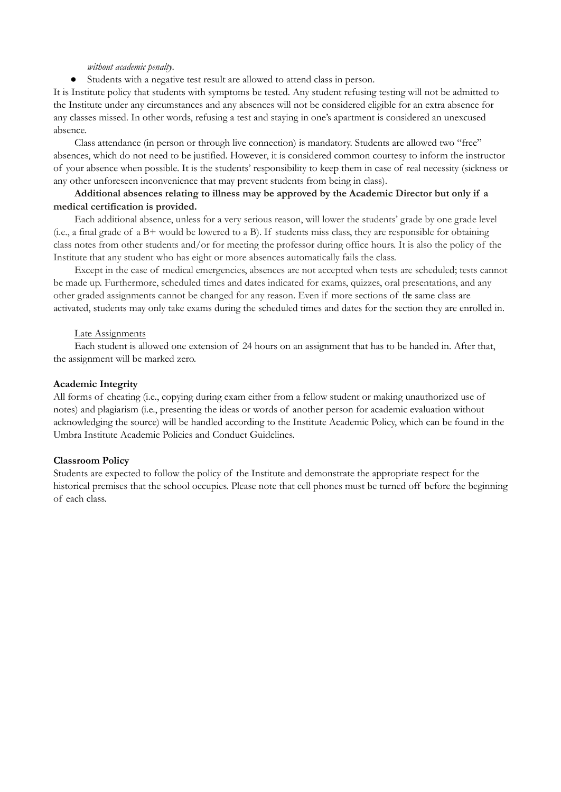#### *without academic penalty*.

● Students with a negative test result are allowed to attend class in person.

It is Institute policy that students with symptoms be tested. Any student refusing testing will not be admitted to the Institute under any circumstances and any absences will not be considered eligible for an extra absence for any classes missed. In other words, refusing a test and staying in one's apartment is considered an unexcused absence.

Class attendance (in person or through live connection) is mandatory. Students are allowed two "free" absences, which do not need to be justified. However, it is considered common courtesy to inform the instructor of your absence when possible. It is the students' responsibility to keep them in case of real necessity (sickness or any other unforeseen inconvenience that may prevent students from being in class).

### **Additional absences relating to illness may be approved by the Academic Director but only if a medical certification is provided.**

Each additional absence, unless for a very serious reason, will lower the students' grade by one grade level (i.e., a final grade of a B+ would be lowered to a B). If students miss class, they are responsible for obtaining class notes from other students and/or for meeting the professor during office hours. It is also the policy of the Institute that any student who has eight or more absences automatically fails the class.

Except in the case of medical emergencies, absences are not accepted when tests are scheduled; tests cannot be made up. Furthermore, scheduled times and dates indicated for exams, quizzes, oral presentations, and any other graded assignments cannot be changed for any reason. Even if more sections of the same class are activated, students may only take exams during the scheduled times and dates for the section they are enrolled in.

#### Late Assignments

Each student is allowed one extension of 24 hours on an assignment that has to be handed in. After that, the assignment will be marked zero.

#### **Academic Integrity**

All forms of cheating (i.e., copying during exam either from a fellow student or making unauthorized use of notes) and plagiarism (i.e., presenting the ideas or words of another person for academic evaluation without acknowledging the source) will be handled according to the Institute Academic Policy, which can be found in the Umbra Institute Academic Policies and Conduct Guidelines.

### **Classroom Policy**

Students are expected to follow the policy of the Institute and demonstrate the appropriate respect for the historical premises that the school occupies. Please note that cell phones must be turned off before the beginning of each class.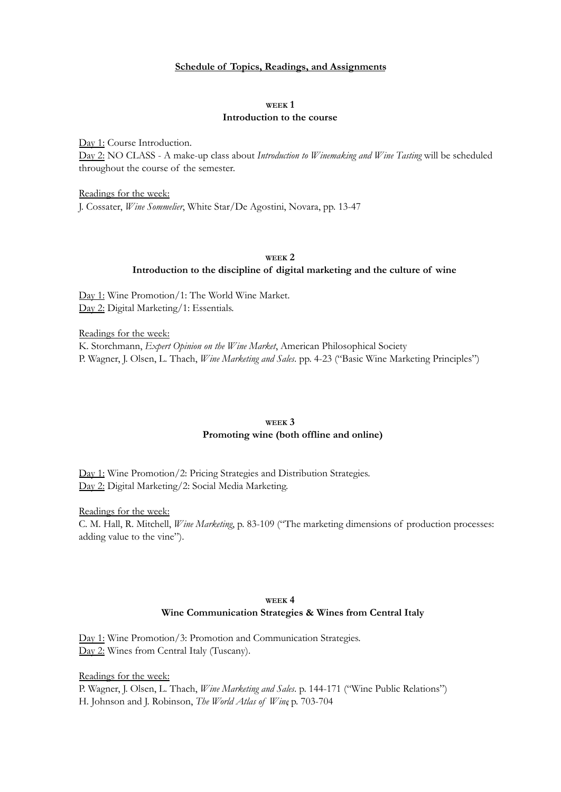#### **Schedule of Topics, Readings, and Assignments**

#### **WEEK 1 Introduction to the course**

Day 1: Course Introduction.

Day 2: NO CLASS - A make-up class about *Introduction to Winemaking and Wine Tasting* will be scheduled throughout the course of the semester.

Readings for the week: J. Cossater, *Wine Sommelier*, White Star/De Agostini, Novara, pp. 13-47

#### **WEEK 2 Introduction to the discipline of digital marketing and the culture of wine**

Day 1: Wine Promotion/1: The World Wine Market. Day 2: Digital Marketing/1: Essentials.

Readings for the week: K. Storchmann, *Expert Opinion on the Wine Market*, American Philosophical Society P. Wagner, J. Olsen, L. Thach, *Wine Marketing and Sales*. pp. 4-23 ("Basic Wine Marketing Principles")

#### **WEEK 3 Promoting wine (both offline and online)**

Day 1: Wine Promotion/2: Pricing Strategies and Distribution Strategies. Day 2: Digital Marketing/2: Social Media Marketing.

Readings for the week: C. M. Hall, R. Mitchell, *Wine Marketing*, p. 83-109 ("The marketing dimensions of production processes: adding value to the vine").

### **WEEK 4 Wine Communication Strategies & Wines from Central Italy**

Day 1: Wine Promotion/3: Promotion and Communication Strategies. Day 2: Wines from Central Italy (Tuscany).

Readings for the week: P. Wagner, J. Olsen, L. Thach, *Wine Marketing and Sales*. p. 144-171 ("Wine Public Relations") H. Johnson and J. Robinson, *The World Atlas of Wine*, p. 703-704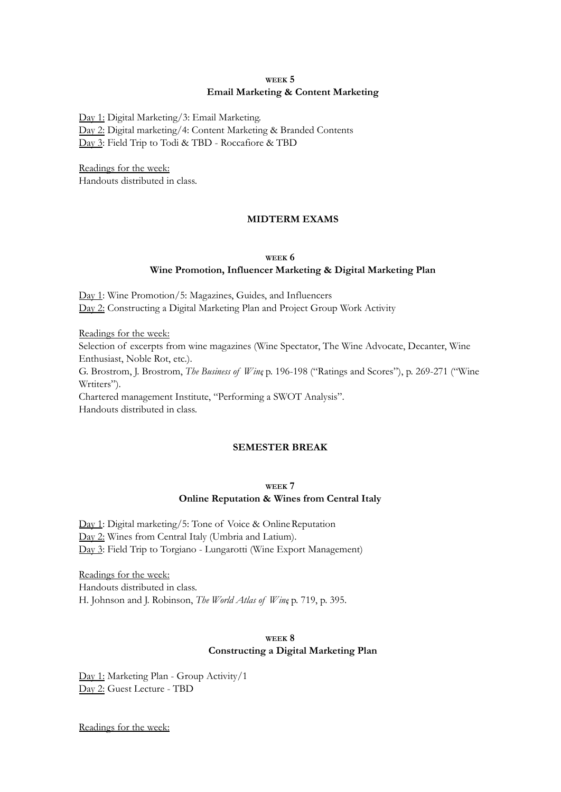### **WEEK 5 Email Marketing & Content Marketing**

Day 1: Digital Marketing/3: Email Marketing. Day 2: Digital marketing/4: Content Marketing & Branded Contents Day 3: Field Trip to Todi & TBD - Roccafiore & TBD

Readings for the week: Handouts distributed in class.

### **MIDTERM EXAMS**

### **WEEK 6 Wine Promotion, Influencer Marketing & Digital Marketing Plan**

Day 1: Wine Promotion/5: Magazines, Guides, and Influencers Day 2: Constructing a Digital Marketing Plan and Project Group Work Activity

Readings for the week:

Selection of excerpts from wine magazines (Wine Spectator, The Wine Advocate, Decanter, Wine Enthusiast, Noble Rot, etc.).

G. Brostrom, J. Brostrom, *The Business of Wine*, p. 196-198 ("Ratings and Scores"), p. 269-271 ("Wine Wrtiters").

Chartered management Institute, "Performing a SWOT Analysis".

Handouts distributed in class.

### **SEMESTER BREAK**

#### **WEEK 7**

### **Online Reputation & Wines from Central Italy**

Day 1: Digital marketing/5: Tone of Voice & Online Reputation Day 2: Wines from Central Italy (Umbria and Latium). Day 3: Field Trip to Torgiano - Lungarotti (Wine Export Management)

Readings for the week: Handouts distributed in class. H. Johnson and J. Robinson, *The World Atlas of Wine*, p. 719, p. 395.

### **WEEK 8 Constructing a Digital Marketing Plan**

Day 1: Marketing Plan - Group Activity/1 Day 2: Guest Lecture - TBD

Readings for the week: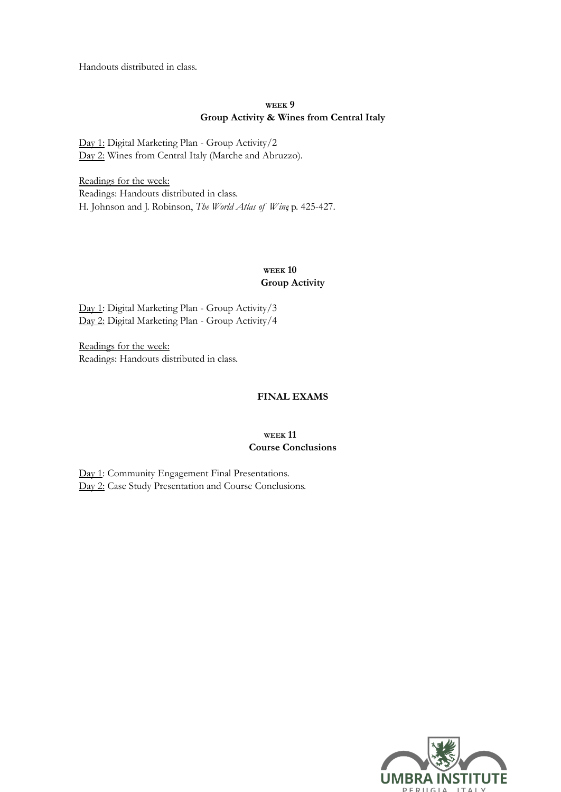Handouts distributed in class.

### **WEEK 9 Group Activity & Wines from Central Italy**

Day 1: Digital Marketing Plan - Group Activity/2 Day 2: Wines from Central Italy (Marche and Abruzzo).

Readings for the week: Readings: Handouts distributed in class. H. Johnson and J. Robinson, *The World Atlas of Wine*, p. 425-427.

### **WEEK 10 Group Activity**

Day 1: Digital Marketing Plan - Group Activity/3 Day 2: Digital Marketing Plan - Group Activity/4

Readings for the week: Readings: Handouts distributed in class.

## **FINAL EXAMS**

### **WEEK 11 Course Conclusions**

Day 1: Community Engagement Final Presentations. Day 2: Case Study Presentation and Course Conclusions.

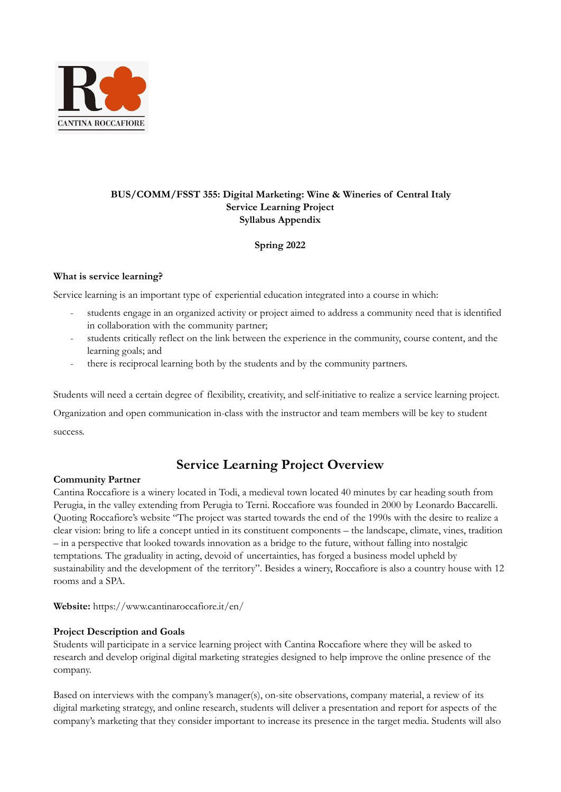

## **BUS/COMM/FSST 355: Digital Marketing: Wine & Wineries of Central Italy Service Learning Project Syllabus Appendix**

## **Spring 2022**

### **What is service learning?**

Service learning is an important type of experiential education integrated into a course in which:

- students engage in an organized activity or project aimed to address a community need that is identified in collaboration with the community partner;
- students critically reflect on the link between the experience in the community, course content, and the learning goals; and
- there is reciprocal learning both by the students and by the community partners.

Students will need a certain degree of flexibility, creativity, and self-initiative to realize a service learning project. Organization and open communication in-class with the instructor and team members will be key to student success.

# **Service Learning Project Overview**

### **Community Partner**

Cantina Roccafiore is a winery located in Todi, a medieval town located 40 minutes by car heading south from Perugia, in the valley extending from Perugia to Terni. Roccafiore was founded in 2000 by Leonardo Baccarelli. Quoting Roccafiore's website "The project was started towards the end of the 1990s with the desire to realize a clear vision: bring to life a concept untied in its constituent components – the landscape, climate, vines, tradition – in a perspective that looked towards innovation as a bridge to the future, without falling into nostalgic temptations. The graduality in acting, devoid of uncertainties, has forged a business model upheld by sustainability and the development of the territory". Besides a winery, Roccafiore is also a country house with 12 rooms and a SPA.

**Website:** https://www.cantinaroccafiore.it/en/

### **Project Description and Goals**

Students will participate in a service learning project with Cantina Roccafiore where they will be asked to research and develop original digital marketing strategies designed to help improve the online presence of the company.

Based on interviews with the company's manager(s), on-site observations, company material, a review of its digital marketing strategy, and online research, students will deliver a presentation and report for aspects of the company's marketing that they consider important to increase its presence in the target media. Students will also